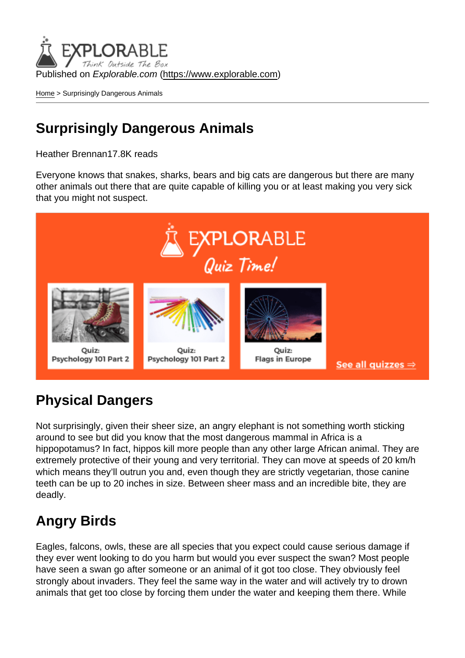Published on Explorable.com (<https://www.explorable.com>)

[Home](https://www.explorable.com/) > Surprisingly Dangerous Animals

## Surprisingly Dangerous Animals

Heather Brennan17.8K reads

Everyone knows that snakes, sharks, bears and big cats are dangerous but there are many other animals out there that are quite capable of killing you or at least making you very sick that you might not suspect.

## Physical Dangers

Not surprisingly, given their sheer size, an angry elephant is not something worth sticking around to see but did you know that the most dangerous mammal in Africa is a hippopotamus? In fact, hippos kill more people than any other large African animal. They are extremely protective of their young and very territorial. They can move at speeds of 20 km/h which means they'll outrun you and, even though they are strictly vegetarian, those canine teeth can be up to 20 inches in size. Between sheer mass and an incredible bite, they are deadly.

## Angry Birds

Eagles, falcons, owls, these are all species that you expect could cause serious damage if they ever went looking to do you harm but would you ever suspect the swan? Most people have seen a swan go after someone or an animal of it got too close. They obviously feel strongly about invaders. They feel the same way in the water and will actively try to drown animals that get too close by forcing them under the water and keeping them there. While